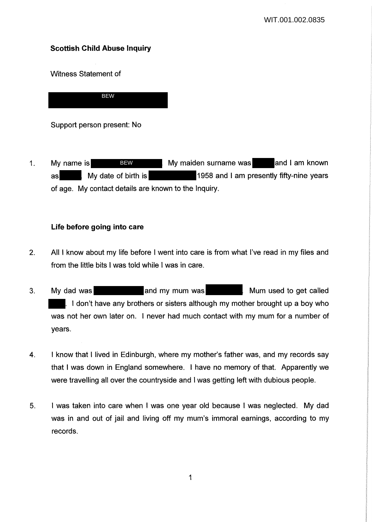# **Scottish Child Abuse Inquiry**

Witness Statement of

BEW

Support person present: No

1. My name is **BEW BEW My maiden surname was** and I am known as My date of birth is 1958 and I am presently fifty-nine years of age. My contact details are known to the Inquiry. BEW

## **Life before going into care**

- 2. All I know about my life before I went into care is from what I've read in my files and from the little bits I was told while I was in care.
- 3. My dad was **All and my mum was** Mum used to get called I I don't have any brothers or sisters although my mother brought up a boy who was not her own later on. I never had much contact with my mum for a number of years.
- 4. I know that I lived in Edinburgh, where my mother's father was, and my records say that I was down in England somewhere. I have no memory of that. Apparently we were travelling all over the countryside and I was getting left with dubious people.
- 5. I was taken into care when I was one year old because I was neglected. My dad was in and out of jail and living off my mum's immoral earnings, according to my records.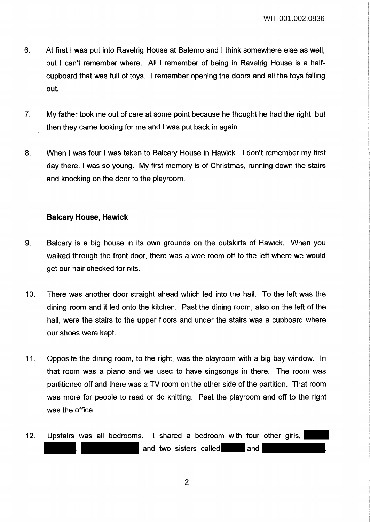- 6. At first I was put into Ravelrig House at Salerno and I think somewhere else as well, but I can't remember where. All I remember of being in Ravelrig House is a halfcupboard that was full of toys. I remember opening the doors and all the toys falling out.
- 7. My father took me out of care at some point because he thought he had the right, but then they came looking for me and I was put back in again.
- 8. When I was four I was taken to Balcary House in Hawick. I don't remember my first day there, I was so young. My first memory is of Christmas, running down the stairs and knocking on the door to the playroom.

## **Balcary House, Hawick**

- 9. Balcary is a big house in its own grounds on the outskirts of Hawick. When you walked through the front door, there was a wee room off to the left where we would get our hair checked for nits.
- 10. There was another door straight ahead which led into the hall. To the left was the dining room and it led onto the kitchen. Past the dining room, also on the left of the hall, were the stairs to the upper floors and under the stairs was a cupboard where our shoes were kept.
- 11. Opposite the dining room, to the right, was the playroom with a big bay window. In that room was a piano and we used to have singsongs in there. The room was partitioned off and there was a TV room on the other side of the partition. That room was more for people to read or do knitting. Past the playroom and off to the right was the office.
- 12. Upstairs was all bedrooms. I shared a bedroom with four other girls, and two sisters called and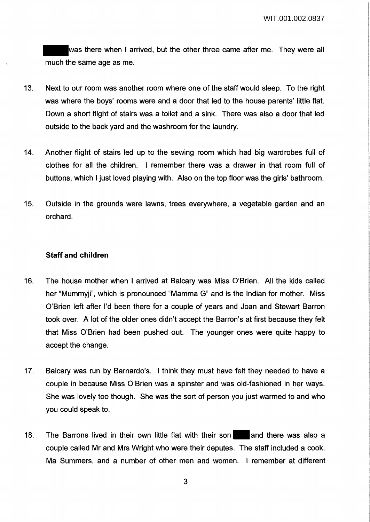was there when I arrived, but the other three came after me. They were all much the same age as me.

- 13. Next to our room was another room where one of the staff would sleep. To the right was where the boys' rooms were and a door that led to the house parents' little flat. Down a short flight of stairs was a toilet and a sink. There was also a door that led outside to the back yard and the washroom for the laundry.
- 14. Another flight of stairs led up to the sewing room which had big wardrobes full of clothes for all the children. I remember there was a drawer in that room full of buttons, which I just loved playing with. Also on the top floor was the girls' bathroom.
- 15. Outside in the grounds were lawns, trees everywhere, a vegetable garden and an orchard.

## **Staff and children**

- 16. The house mother when I arrived at Balcary was Miss O'Brien. All the kids called her "Mummyji", which is pronounced "Mamma G" and is the Indian for mother. Miss O'Brien left after I'd been there for a couple of years and Joan and Stewart Barron took over. A lot of the older ones didn't accept the Barron's at first because they felt that Miss O'Brien had been pushed out. The younger ones were quite happy to accept the change.
- 17. Balcary was run by Barnardo's. I think they must have felt they needed to have a couple in because Miss O'Brien was a spinster and was old-fashioned in her ways. She was lovely too though. She was the sort of person you just warmed to and who you could speak to.
- 18. The Barrons lived in their own little flat with their son and there was also a couple called Mr and Mrs Wright who were their deputes. The staff included a cook, Ma Summers, and a number of other men and women. I remember at different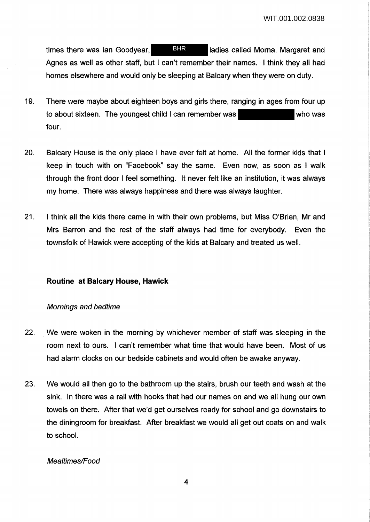times there was Ian Goodyear, BHR Iadies called Morna, Margaret and Agnes as well as other staff, but I can't remember their names. I think they all had homes elsewhere and would only be sleeping at Balcary when they were on duty. **BHR** 

- 19. There were maybe about eighteen boys and girls there, ranging in ages from four up to about sixteen. The youngest child I can remember was four.
- 20. Balcary House is the only place I have ever felt at home. All the former kids that I keep in touch with on "Facebook" say the same. Even now, as soon as I walk through the front door I feel something. It never felt like an institution, it was always my home. There was always happiness and there was always laughter.
- 21. I think all the kids there came in with their own problems, but Miss O'Brien, Mr and Mrs Barron and the rest of the staff always had time for everybody. Even the townsfolk of Hawick were accepting of the kids at Balcary and treated us well.

## **Routine at Balcary House, Hawick**

### Mornings and bedtime

- 22. We were woken in the morning by whichever member of staff was sleeping in the room next to ours. I can't remember what time that would have been. Most of us had alarm clocks on our bedside cabinets and would often be awake anyway.
- 23. We would all then go to the bathroom up the stairs, brush our teeth and wash at the sink. In there was a rail with hooks that had our names on and we all hung our own towels on there. After that we'd get ourselves ready for school and go downstairs to the diningroom for breakfast. After breakfast we would all get out coats on and walk to school.

### Mealtimes/Food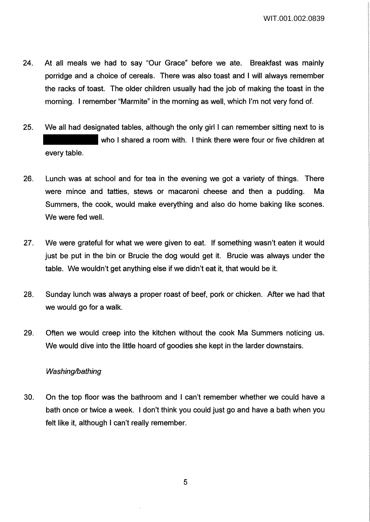- 24. At all meals we had to say "Our Grace" before we ate. Breakfast was mainly porridge and a choice of cereals. There was also toast and I will always remember the racks of toast. The older children usually had the job of making the toast in the morning. I remember "Marmite" in the morning as well, which I'm not very fond of.
- 25. We all had designated tables, although the only girl I can remember sitting next to is who I shared a room with. I think there were four or five children at every table.
- 26. Lunch was at school and for tea in the evening we got a variety of things. There were mince and tatties, stews or macaroni cheese and then a pudding. Ma Summers, the cook, would make everything and also do home baking like scones. We were fed well.
- 27. We were grateful for what we were given to eat. If something wasn't eaten it would just be put in the bin or Brucie the dog would get it. Brucie was always under the table. We wouldn't get anything else if we didn't eat it, that would be it.
- 28. Sunday lunch was always a proper roast of beef, pork or chicken. After we had that we would go for a walk.
- 29. Often we would creep into the kitchen without the cook Ma Summers noticing us. We would dive into the little hoard of goodies she kept in the larder downstairs.

## Washing/bathing

30. On the top floor was the bathroom and I can't remember whether we could have a bath once or twice a week. I don't think you could just go and have a bath when you felt like it, although I can't really remember.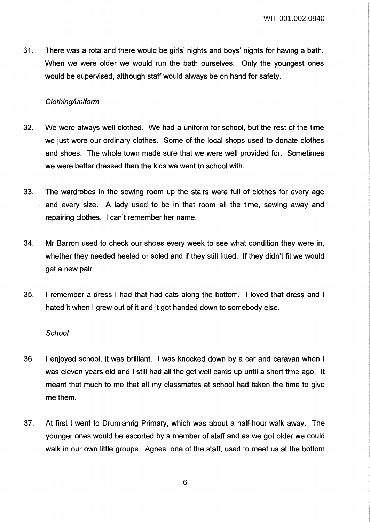31. There was a rota and there would be girls' nights and boys' nights for having a bath. When we were older we would run the bath ourselves. Only the youngest ones would be supervised, although staff would always be on hand for safety.

## Clothing/uniform

- 32. We were always well clothed. We had a uniform for school, but the rest of the time we just wore our ordinary clothes. Some of the local shops used to donate clothes and shoes. The whole town made sure that we were well provided for. Sometimes we were better dressed than the kids we went to school with.
- 33. The wardrobes in the sewing room up the stairs were full of clothes for every age and every size. A lady used to be in that room all the time, sewing away and repairing clothes. I can't remember her name.
- 34. Mr Barron used to check our shoes every week to see what condition they were in, whether they needed heeled or soled and if they still fitted. If they didn't fit we would get a new pair.
- 35. I remember a dress I had that had cats along the bottom. I loved that dress and I hated it when I grew out of it and it got handed down to somebody else.

### **School**

- 36. I enjoyed school, it was brilliant. I was knocked down by a car and caravan when I was eleven years old and I still had all the get well cards up until a short time ago. It meant that much to me that all my classmates at school had taken the time to give me them.
- 37. At first I went to Drumlanrig Primary, which was about a half-hour walk away. The younger ones would be escorted by a member of staff and as we got older we could walk in our own little groups. Agnes, one of the staff, used to meet us at the bottom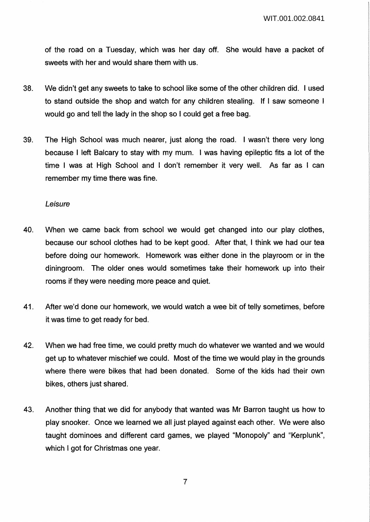of the road on a Tuesday, which was her day off. She would have a packet of sweets with her and would share them with us.

- 38. We didn't get any sweets to take to school like some of the other children did. I used to stand outside the shop and watch for any children stealing. If I saw someone I would go and tell the lady in the shop so I could get a free bag.
- 39. The High School was much nearer, just along the road. I wasn't there very long because I left Balcary to stay with my mum. I was having epileptic fits a lot of the time I was at High School and I don't remember it very well. As far as I can remember my time there was fine.

#### Leisure

- 40. When we came back from school we would get changed into our play clothes, because our school clothes had to be kept good. After that, I think we had our tea before doing our homework. Homework was either done in the playroom or in the diningroom. The older ones would sometimes take their homework up into their rooms if they were needing more peace and quiet.
- 41. After we'd done our homework, we would watch a wee bit of telly sometimes, before it was time to get ready for bed.
- 42. When we had free time, we could pretty much do whatever we wanted and we would get up to whatever mischief we could. Most of the time we would play in the grounds where there were bikes that had been donated. Some of the kids had their own bikes, others just shared.
- 43. Another thing that we did for anybody that wanted was Mr Barron taught us how to play snooker. Once we learned we all just played against each other. We were also taught dominoes and different card games, we played "Monopoly" and "Kerplunk", which I got for Christmas one year.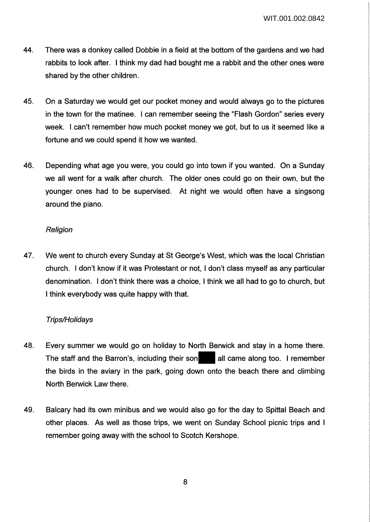- 44. There was a donkey called Dobbie in a field at the bottom of the gardens and we had rabbits to look after. I think my dad had bought me a rabbit and the other ones were shared by the other children.
- 45. On a Saturday we would get our pocket money and would always go to the pictures in the town for the matinee. I can remember seeing the "Flash Gordon" series every week. I can't remember how much pocket money we got, but to us it seemed like a fortune and we could spend it how we wanted.
- 46. Depending what age you were, you could go into town if you wanted. On a Sunday we all went for a walk after church. The older ones could go on their own, but the younger ones had to be supervised. At night we would often have a singsong around the piano.

## **Religion**

47. We went to church every Sunday at St George's West, which was the local Christian church. I don't know if it was Protestant or not, I don't class myself as any particular denomination. I don't think there was a choice, I think we all had to go to church, but I think everybody was quite happy with that.

## Trips/Holidays

- 48. Every summer we would go on holiday to North Berwick and stay in a home there. The staff and the Barron's, including their son all came along too. I remember the birds in the aviary in the park, going down onto the beach there and climbing North Berwick Law there.
- 49. Balcary had its own minibus and we would also go for the day to Spittal Beach and other places. As well as those trips, we went on Sunday School picnic trips and I remember going away with the school to Scotch Kershope.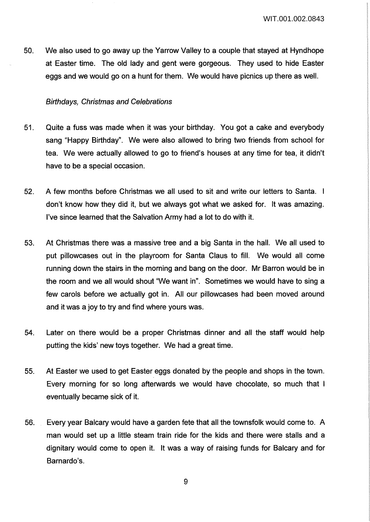50. We also used to go away up the Yarrow Valley to a couple that stayed at Hyndhope at Easter time. The old lady and gent were gorgeous. They used to hide Easter eggs and we would go on a hunt for them. We would have picnics up there as well.

#### Birthdays, Christmas and Celebrations

- 51. Quite a fuss was made when it was your birthday. You got a cake and everybody sang "Happy Birthday". We were also allowed to bring two friends from school for tea. We were actually allowed to go to friend's houses at any time for tea, it didn't have to be a special occasion.
- 52. A few months before Christmas we all used to sit and write our letters to Santa. don't know how they did it, but we always got what we asked for. It was amazing. I've since learned that the Salvation Army had a lot to do with it.
- 53. At Christmas there was a massive tree and a big Santa in the hall. We all used to put pillowcases out in the playroom for Santa Claus to fill. We would all come running down the stairs in the morning and bang on the door. Mr Barron would be in the room and we all would shout "We want in". Sometimes we would have to sing a few carols before we actually got in. All our pillowcases had been moved around and it was a joy to try and find where yours was.
- 54. Later on there would be a proper Christmas dinner and all the staff would help putting the kids' new toys together. We had a great time.
- 55. At Easter we used to get Easter eggs donated by the people and shops in the town. Every morning for so long afterwards we would have chocolate, so much that I eventually became sick of it.
- 56. Every year Balcary would have a garden fete that all the townsfolk would come to. A man would set up a little steam train ride for the kids and there were stalls and a dignitary would come to open it. It was a way of raising funds for Balcary and for Barnardo's.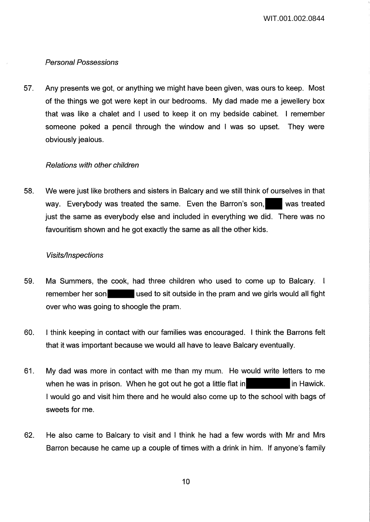## Personal Possessions

57. Any presents we got, or anything we might have been given, was ours to keep. Most of the things we got were kept in our bedrooms. My dad made me a jewellery box that was like a chalet and I used to keep it on my bedside cabinet. I remember someone poked a pencil through the window and I was so upset. They were obviously jealous.

### Relations with other children

58. We were just like brothers and sisters in Balcary and we still think of ourselves in that way. Everybody was treated the same. Even the Barron's son, was treated just the same as everybody else and included in everything we did. There was no favouritism shown and he got exactly the same as all the other kids.

### **Visits/Inspections**

- 59. Ma Summers, the cook, had three children who used to come up to Balcary. I remember her son used to sit outside in the pram and we girls would all fight over who was going to shoogle the pram.
- 60. I think keeping in contact with our families was encouraged. I think the Barrons felt that it was important because we would all have to leave Balcary eventually.
- 61. My dad was more in contact with me than my mum. He would write letters to me when he was in prison. When he got out he got a little flat in in in Hawick. I would go and visit him there and he would also come up to the school with bags of sweets for me.
- 62. He also came to Balcary to visit and I think he had a few words with Mr and Mrs Barron because he came up a couple of times with a drink in him. If anyone's family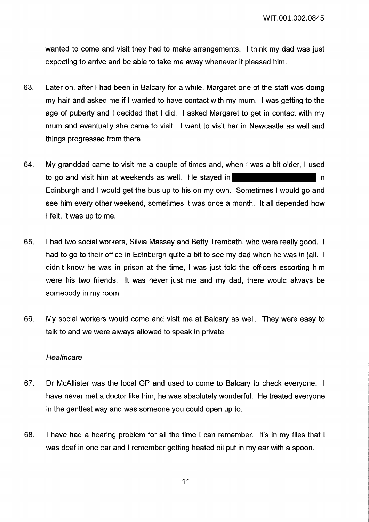wanted to come and visit they had to make arrangements. I think my dad was just expecting to arrive and be able to take me away whenever it pleased him.

- 63. Later on, after I had been in Balcary for a while, Margaret one of the staff was doing my hair and asked me if I wanted to have contact with my mum. I was getting to the age of puberty and I decided that I did. I asked Margaret to get in contact with my mum and eventually she came to visit. I went to visit her in Newcastle as well and things progressed from there.
- 64. My granddad came to visit me a couple of times and, when I was a bit older, I used to go and visit him at weekends as well. He stayed in Edinburgh and I would get the bus up to his on my own. Sometimes I would go and see him every other weekend, sometimes it was once a month. It all depended how I felt, it was up to me.
- 65. I had two social workers, Silvia Massey and Betty Trembath, who were really good. I had to go to their office in Edinburgh quite a bit to see my dad when he was in jail. I didn't know he was in prison at the time, I was just told the officers escorting him were his two friends. It was never just me and my dad, there would always be somebody in my room.
- 66. My social workers would come and visit me at Balcary as well. They were easy to talk to and we were always allowed to speak in private.

#### **Healthcare**

- 67. Dr McAllister was the local GP and used to come to Balcary to check everyone. I have never met a doctor like him, he was absolutely wonderful. He treated everyone in the gentlest way and was someone you could open up to.
- 68. I have had a hearing problem for all the time I can remember. It's in my files that I was deaf in one ear and I remember getting heated oil put in my ear with a spoon.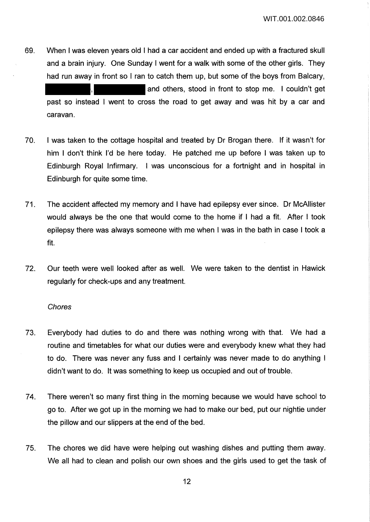69. When I was eleven years old I had a car accident and ended up with a fractured skull and a brain injury. One Sunday I went for a walk with some of the other girls. They had run away in front so I ran to catch them up, but some of the boys from Balcary, and others, stood in front to stop me. I couldn't get

past so instead I went to cross the road to get away and was hit by a car and caravan.

- 70. I was taken to the cottage hospital and treated by Dr Brogan there. If it wasn't for him I don't think I'd be here today. He patched me up before I was taken up to Edinburgh Royal Infirmary. I was unconscious for a fortnight and in hospital in Edinburgh for quite some time.
- 71. The accident affected my memory and I have had epilepsy ever since. Dr McAllister would always be the one that would come to the home if I had a fit. After I took epilepsy there was always someone with me when I was in the bath in case I took a fit.
- 72. Our teeth were well looked after as well. We were taken to the dentist in Hawick regularly for check-ups and any treatment.

#### **Chores**

- 73. Everybody had duties to do and there was nothing wrong with that. We had a routine and timetables for what our duties were and everybody knew what they had to do. There was never any fuss and I certainly was never made to do anything I didn't want to do. It was something to keep us occupied and out of trouble.
- 74. There weren't so many first thing in the morning because we would have school to go to. After we got up in the morning we had to make our bed, put our nightie under the pillow and our slippers at the end of the bed.
- 75. The chores we did have were helping out washing dishes and putting them away. We all had to clean and polish our own shoes and the girls used to get the task of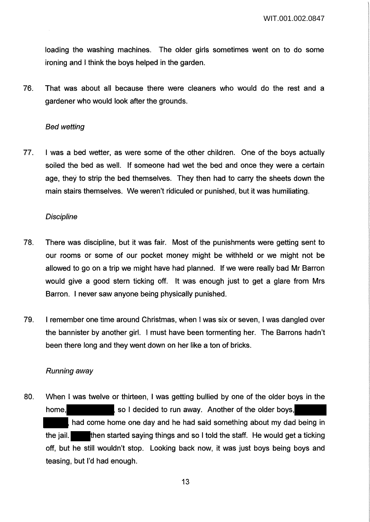loading the washing machines. The older girls sometimes went on to do some ironing and I think the boys helped in the garden.

76. That was about all because there were cleaners who would do the rest and a gardener who would look after the grounds.

#### Bed wetting

77. I was a bed wetter, as were some of the other children. One of the boys actually soiled the bed as well. If someone had wet the bed and once they were a certain age, they to strip the bed themselves. They then had to carry the sheets down the main stairs themselves. We weren't ridiculed or punished, but it was humiliating.

#### **Discipline**

- 78. There was discipline, but it was fair. Most of the punishments were getting sent to our rooms or some of our pocket money might be withheld or we might not be allowed to go on a trip we might have had planned. If we were really bad Mr Barron would give a good stern ticking off. It was enough just to get a glare from Mrs Barron. I never saw anyone being physically punished.
- 79. I remember one time around Christmas, when I was six or seven, I was dangled over the bannister by another girl. I must have been tormenting her. The Barrons hadn't been there long and they went down on her like a ton of bricks.

#### Running away

80. When I was twelve or thirteen, I was getting bullied by one of the older boys in the home, so I decided to run away. Another of the older boys, had come home one day and he had said something about my dad being in the jail. **then started saying things and so I told the staff.** He would get a ticking off, but he still wouldn't stop. Looking back now, it was just boys being boys and teasing, but I'd had enough.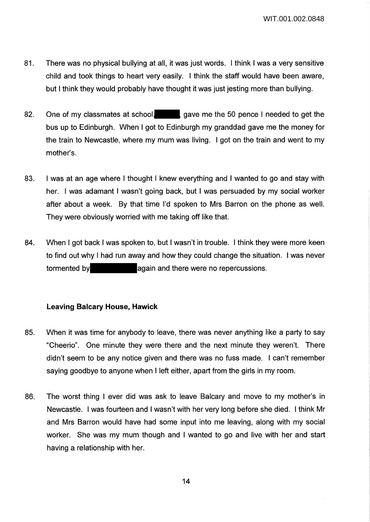WIT.001.002.0848

- 81. There was no physical bullying at all, it was just words. I think I was a very sensitive child and took things to heart very easily. I think the staff would have been aware, but I think they would probably have thought it was just jesting more than bullying.
- 82. One of my classmates at school, gave me the 50 pence I needed to get the bus up to Edinburgh. When I got to Edinburgh my granddad gave me the money for the train to Newcastle, where my mum was living. I got on the train and went to my mother's.
- 83. I was at an age where I thought I knew everything and I wanted to go and stay with her. I was adamant I wasn't going back, but I was persuaded by my social worker after about a week. By that time I'd spoken to Mrs Barron on the phone as well. They were obviously worried with me taking off like that.
- 84. When I got back I was spoken to, but I wasn't in trouble. I think they were more keen to find out why I had run away and how they could change the situation. I was never tormented by **again** and there were no repercussions.

### **Leaving Balcary House, Hawick**

- 85. When it was time for anybody to leave, there was never anything like a party to say "Cheerio". One minute they were there and the next minute they weren't. There didn't seem to be any notice given and there was no fuss made. I can't remember saying goodbye to anyone when I left either, apart from the girls in my room.
- 86. The worst thing I ever did was ask to leave Balcary and move to my mother's in Newcastle. I was fourteen and I wasn't with her very long before she died. I think Mr and Mrs Barron would have had some input into me leaving, along with my social worker. She was my mum though and I wanted to go and live with her and start having a relationship with her.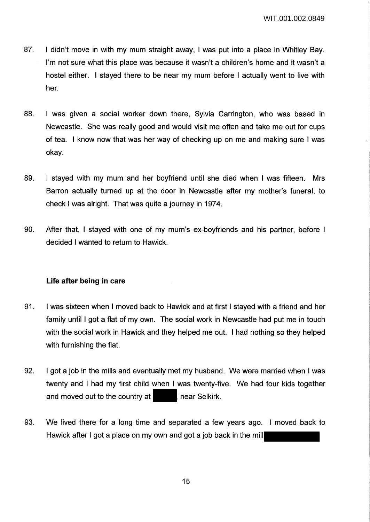- 87. I didn't move in with my mum straight away, I was put into a place in Whitley Bay. I'm not sure what this place was because it wasn't a children's home and it wasn't a hostel either. I stayed there to be near my mum before I actually went to live with her.
- 88. I was given a social worker down there, Sylvia Carrington, who was based in Newcastle. She was really good and would visit me often and take me out for cups of tea. I know now that was her way of checking up on me and making sure I was okay.
- 89. I stayed with my mum and her boyfriend until she died when I was fifteen. Mrs Barron actually turned up at the door in Newcastle after my mother's funeral, to check I was alright. That was quite a journey in 1974.
- 90. After that, I stayed with one of my mum's ex-boyfriends and his partner, before I decided I wanted to return to Hawick.

## **Life after being in care**

- 91. I was sixteen when I moved back to Hawick and at first I stayed with a friend and her family until I got a flat of my own. The social work in Newcastle had put me in touch with the social work in Hawick and they helped me out. I had nothing so they helped with furnishing the flat.
- 92. I got a job in the mills and eventually met my husband. We were married when I was twenty and I had my first child when I was twenty-five. We had four kids together and moved out to the country at **near Selkirk.**
- 93. We lived there for a long time and separated a few years ago. I moved back to Hawick after I got a place on my own and got a job back in the mill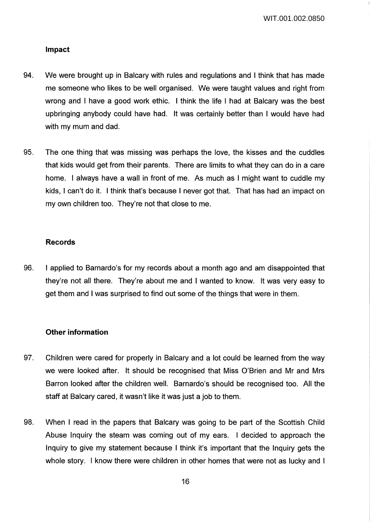#### **Impact**

- 94. We were brought up in Balcary with rules and regulations and I think that has made me someone who likes to be well organised. We were taught values and right from wrong and I have a good work ethic. I think the life I had at Balcary was the best upbringing anybody could have had. It was certainly better than I would have had with my mum and dad.
- 95. The one thing that was missing was perhaps the love, the kisses and the cuddles that kids would get from their parents. There are limits to what they can do in a care home. I always have a wall in front of me. As much as I might want to cuddle my kids, I can't do it. I think that's because I never got that. That has had an impact on my own children too. They're not that close to me.

#### **Records**

96. I applied to Barnardo's for my records about a month ago and am disappointed that they're not all there. They're about me and I wanted to know. It was very easy to get them and I was surprised to find out some of the things that were in them.

#### **Other information**

- 97. Children were cared for properly in Balcary and a lot could be learned from the way we were looked after. It should be recognised that Miss O'Brien and Mr and Mrs Barron looked after the children well. Barnardo's should be recognised too. All the staff at Balcary cared, it wasn't like it was just a job to them.
- 98. When I read in the papers that Balcary was going to be part of the Scottish Child Abuse Inquiry the steam was coming out of my ears. I decided to approach the Inquiry to give my statement because I think it's important that the Inquiry gets the whole story. I know there were children in other homes that were not as lucky and I